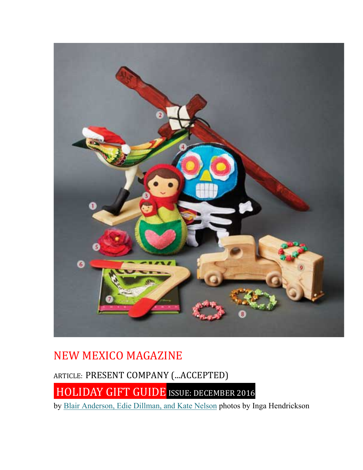

## NEW MEXICO MAGAZINE

ARTICLE: PRESENT COMPANY (...ACCEPTED)

HOLIDAY GIFT GUIDE ISSUE: DECEMBER 2016

by Blair Anderson, Edie Dillman, and Kate Nelson photos by Inga Hendrickson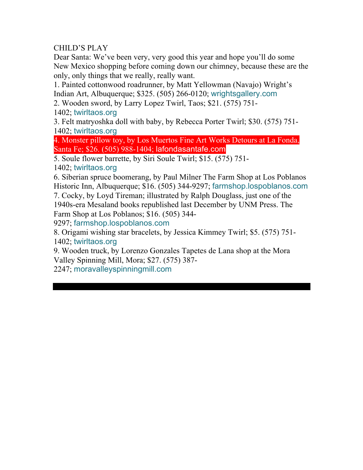#### CHILD'S PLAY

Dear Santa: We've been very, very good this year and hope you'll do some New Mexico shopping before coming down our chimney, because these are the only, only things that we really, really want.

1. Painted cottonwood roadrunner, by Matt Yellowman (Navajo) Wright's Indian Art, Albuquerque; \$325. (505) 266-0120; wrightsgallery.com

2. Wooden sword, by Larry Lopez Twirl, Taos; \$21. (575) 751-

1402; twirltaos.org

3. Felt matryoshka doll with baby, by Rebecca Porter Twirl; \$30. (575) 751- 1402; twirltaos.org

4. Monster pillow toy, by Los Muertos Fine Art Works Detours at La Fonda, Santa Fe; \$26. (505) 988-1404; lafondasantafe.com

5. Soule flower barrette, by Siri Soule Twirl; \$15. (575) 751-

1402; twirltaos.org

6. Siberian spruce boomerang, by Paul Milner The Farm Shop at Los Poblanos Historic Inn, Albuquerque; \$16. (505) 344-9297; farmshop.lospoblanos.com

7. Cocky, by Loyd Tireman; illustrated by Ralph Douglass, just one of the 1940s-era Mesaland books republished last December by UNM Press. The Farm Shop at Los Poblanos; \$16. (505) 344-

9297; farmshop.lospoblanos.com

8. Origami wishing star bracelets, by Jessica Kimmey Twirl; \$5. (575) 751- 1402; twirltaos.org

9. Wooden truck, by Lorenzo Gonzales Tapetes de Lana shop at the Mora Valley Spinning Mill, Mora; \$27. (575) 387-

2247; moravalleyspinningmill.com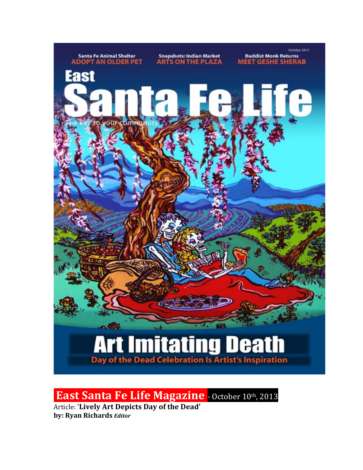

**East Santa Fe Life Magazine** - October 10th, 2013

Article: 'Lively Art Depicts Day of the Dead' **by: Ryan Richards** *Editor*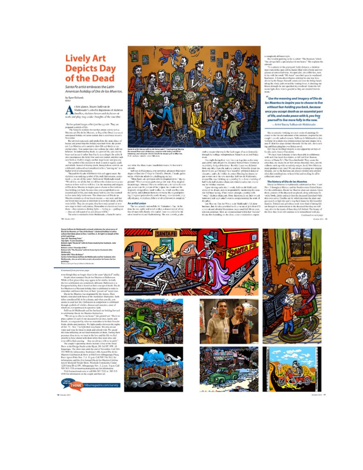### **Lively Art Depicts Day** of the Dead

Santa Fe artist embraces the Latin American holiday of Dia de los Muertos. by Ryan Richards<br>Alitar

 $\sum\limits_{\text{fullhead's code}}\begin{minipage}{0.9\linewidth} \begin{minipage}{0.9\linewidth} \begin{minipage}{0.9\linewidth} \begin{minipage}{0.9\linewidth} \begin{minipage}{0.9\linewidth} \end{minipage} \begin{minipage}{0.9\linewidth} \begin{minipage}{0.9\linewidth} \end{minipage} \begin{minipage}{0.9\linewidth} \begin{minipage}{0.9\linewidth} \end{minipage} \begin{minipage}{0.9\linewidth} \end{minipage} \begin{minipage}{0.9\linewidth} \begin{minipage}{0.9\linewidth} \end{minipage} \begin{minipage}{0.9\linewidth} \end{$ work and play may cooke thoughts of the uncobar

But be pointed images reflect for the appealts. They are

pergenation the booth like<br>the stress has arbite interest of the Start of the Marines at . Can de les Marines are Day of the Dead, in a ranch<br>nation parallel to the Marines are Day of the Dead, in a ranch<br>nation parallel

somether<br>Her university regressive and speaks from the same chosen<br>camy and power that the holiday seasons from . The<br>same state

Notice the symmetric and and a spherical control and a symmetric final control and a symmetric final control and control and a symmetric symmetric symmetric symmetric symmetric symmetric symmetric symmetric symmetric symm

30 October 2012

Starre Delftere de Maldenselek er toech afdelesten fra starrennament (f. 1888)<br> De ferbruiken fra 1997 (f. 1889)<br> 1998 - Belgisch fra 1998 (f. 1889)<br> 1998 - Belgisch fra 1998 (f. 1889)<br> 1998 - Belgisch fra 1998 (f. 1889)<br>

#### Concessed Jose secretary man-

Convened/sine previous pays:  $\label{eq:2}$  conveniently<br>and previous pays: the simulation of the simulation of the simulation<br>of the simulation of the simulation of the simulation of the simulation<br>of the simulation of the si



E

Santa in article stage suffices de trains ender "Haerbag eing" des les<br>Deutstadt Normaan of deuting complete with below and of the<br>Internal logal couple classes historically in transportal location the<br>Internal logal coupl

available. He often assum, Small data reveas the best sets's

areased in the fluor mass fund<br>that means their series and contained in the condition of the state<br>and contained by the condition and condition of the state of the state<br> $\alpha$  of the state of the state of the state of the

## An articlal union  $\sim$  100 meths, 14, Valorines 2 as .<br>At the invariants return field, 14, Valorines 2 are planet as the state<br>of an interactional field and the state of an interaction of the state<br>of the state of the lat

and a ranger who was in the final stages of an action<br>contains through her vallage with prominent Buria Fourier in the Philosopher

then the other state proposed in the two states of the state of the state of the state of the state of the state of the state of the state of the state of the state of the state of the state of the state of the state of t

complicity different cylic.<br>- Rentworke printing to the b-called "The Rousson," which<br>"Incolouge hold a special place in our hearts." She explains the<br>answeri: "It is entroise in the processed, for the distance, a stationa

ances<br>in a station in the processed for the distance, a statistical control in<br>the space colling from the procession of the statistical control of<br>the statistical control with statistical control in the statistical contro more.

#### $^{\prime\prime}$  Use the meaning and imagery of Dia de los Muertos to inspire you to choose to live without fear holding you back, because ence you accept death as an essential part of life, and make peace with it, you free

yourself to live more fully in the now. -Artist Stacey Sulikan de Maldonado

. Main case<br>and a solidary on each version of positions from the couple's smooth and advantages. Suffices the base<br>description is a solid of the couple of the couple's smooth and advantages of<br>the couple's smooth couples

**EVALUATION CONTINUES AND ACTION CONTINUES IN A SUBSEMINE CONTINUES IN THE INTERFERENCE IN THE SUBSEMINATION CONTINUES INTO A SUBSEMINATION CONTINUES INTO A SUBSEMINATION CONTINUES INTO A SUBSEMINATION CONTINUES INTO A SU** Confered on rectings

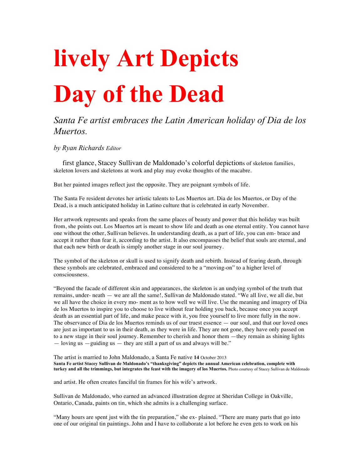# **lively Art Depicts Day of the Dead**

#### *Santa Fe artist embraces the Latin American holiday of Dia de los Muertos.*

*by Ryan Richards Editor*

first glance, Stacey Sullivan de Maldonado's colorful depictions of skeleton families, skeleton lovers and skeletons at work and play may evoke thoughts of the macabre.

But her painted images reflect just the opposite. They are poignant symbols of life.

The Santa Fe resident devotes her artistic talents to Los Muertos art. Dia de los Muertos, or Day of the Dead, is a much anticipated holiday in Latino culture that is celebrated in early November.

Her artwork represents and speaks from the same places of beauty and power that this holiday was built from, she points out. Los Muertos art is meant to show life and death as one eternal entity. You cannot have one without the other, Sullivan believes. In understanding death, as a part of life, you can em- brace and accept it rather than fear it, according to the artist. It also encompasses the belief that souls are eternal, and that each new birth or death is simply another stage in our soul journey.

The symbol of the skeleton or skull is used to signify death and rebirth. Instead of fearing death, through these symbols are celebrated, embraced and considered to be a "moving-on" to a higher level of consciousness.

"Beyond the facade of different skin and appearances, the skeleton is an undying symbol of the truth that remains, under- neath — we are all the same!, Sullivan de Maldonado stated. "We all live, we all die, but we all have the choice in every mo- ment as to how well we will live. Use the meaning and imagery of Dia de los Muertos to inspire you to choose to live without fear holding you back, because once you accept death as an essential part of life, and make peace with it, you free yourself to live more fully in the now. The observance of Dia de los Muertos reminds us of our truest essence — our soul, and that our loved ones are just as important to us in their death, as they were in life. They are not gone, they have only passed on to a new stage in their soul journey. Remember to cherish and honor them —they remain as shining lights  $-$  loving us  $-$  guiding us  $-$  they are still a part of us and always will be."

The artist is married to John Maldonado, a Santa Fe native **14** October 2013 **Santa Fe artist Stacey Sullivan de Maldonado's "thanksgiving" depicts the annual American celebration, complete with turkey and all the trimmings, but integrates the feast with the imagery of los Muertos.** Photo courtesy of Stacey Sullivan de Maldonado

and artist. He often creates fanciful tin frames for his wife's artwork.

Sullivan de Maldonado, who earned an advanced illustration degree at Sheridan College in Oakville, Ontario, Canada, paints on tin, which she admits is a challenging surface.

"Many hours are spent just with the tin preparation," she ex- plained. "There are many parts that go into one of our original tin paintings. John and I have to collaborate a lot before he even gets to work on his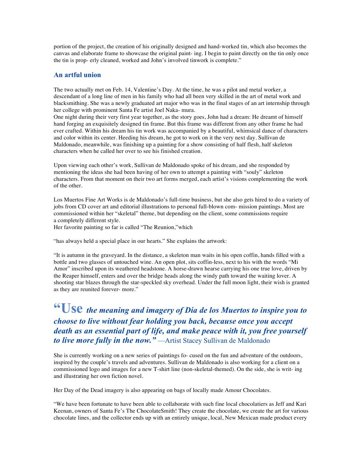portion of the project, the creation of his originally designed and hand-worked tin, which also becomes the canvas and elaborate frame to showcase the original paint- ing. I begin to paint directly on the tin only once the tin is prop- erly cleaned, worked and John's involved tinwork is complete."

#### **An artful union**

The two actually met on Feb. 14, Valentine's Day. At the time, he was a pilot and metal worker, a descendant of a long line of men in his family who had all been very skilled in the art of metal work and blacksmithing. She was a newly graduated art major who was in the final stages of an art internship through her college with prominent Santa Fe artist Joel Naka- mura.

One night during their very first year together, as the story goes, John had a dream: He dreamt of himself hand forging an exquisitely designed tin frame. But this frame was different from any other frame he had ever crafted. Within his dream his tin work was accompanied by a beautiful, whimsical dance of characters and color within its center. Heeding his dream, he got to work on it the very next day. Sullivan de Maldonado, meanwhile, was finishing up a painting for a show consisting of half flesh, half skeleton characters when he called her over to see his finished creation.

Upon viewing each other's work, Sullivan de Maldonado spoke of his dream, and she responded by mentioning the ideas she had been having of her own to attempt a painting with "souly" skeleton characters. From that moment on their two art forms merged, each artist's visions complementing the work of the other.

Los Muertos Fine Art Works is de Maldonado's full-time business, but she also gets hired to do a variety of jobs from CD cover art and editorial illustrations to personal full-blown com- mission paintings. Most are commissioned within her "skeletal" theme, but depending on the client, some commissions require a completely different style.

Her favorite painting so far is called "The Reunion,"which

"has always held a special place in our hearts." She explains the artwork:

"It is autumn in the graveyard. In the distance, a skeleton man waits in his open coffin, hands filled with a bottle and two glasses of untouched wine. An open plot, sits coffin-less, next to his with the words "Mi Amor" inscribed upon its weathered headstone. A horse-drawn hearse carrying his one true love, driven by the Reaper himself, enters and over the bridge heads along the windy path toward the waiting lover. A shooting star blazes through the star-speckled sky overhead. Under the full moon light, their wish is granted as they are reunited forever- more."

**"Use** *the meaning and imagery of Dia de los Muertos to inspire you to choose to live without fear holding you back, because once you accept death as an essential part of life, and make peace with it, you free yourself to live more fully in the now."* —Artist Stacey Sullivan de Maldonado

She is currently working on a new series of paintings fo- cused on the fun and adventure of the outdoors, inspired by the couple's travels and adventures. Sullivan de Maldonado is also working for a client on a commissioned logo and images for a new T-shirt line (non-skeletal-themed). On the side, she is writ- ing and illustrating her own fiction novel.

Her Day of the Dead imagery is also appearing on bags of locally made Amour Chocolates.

"We have been fortunate to have been able to collaborate with such fine local chocolatiers as Jeff and Kari Keenan, owners of Santa Fe's The ChocolateSmith! They create the chocolate, we create the art for various chocolate lines, and the collector ends up with an entirely unique, local, New Mexican made product every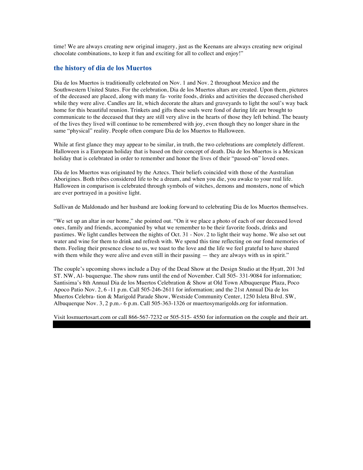time! We are always creating new original imagery, just as the Keenans are always creating new original chocolate combinations, to keep it fun and exciting for all to collect and enjoy!"

#### **the history of dia de los Muertos**

Dia de los Muertos is traditionally celebrated on Nov. 1 and Nov. 2 throughout Mexico and the Southwestern United States. For the celebration, Dia de los Muertos altars are created. Upon them, pictures of the deceased are placed, along with many fa- vorite foods, drinks and activities the deceased cherished while they were alive. Candles are lit, which decorate the altars and graveyards to light the soul's way back home for this beautiful reunion. Trinkets and gifts these souls were fond of during life are brought to communicate to the deceased that they are still very alive in the hearts of those they left behind. The beauty of the lives they lived will continue to be remembered with joy, even though they no longer share in the same "physical" reality. People often compare Dia de los Muertos to Halloween.

While at first glance they may appear to be similar, in truth, the two celebrations are completely different. Halloween is a European holiday that is based on their concept of death. Dia de los Muertos is a Mexican holiday that is celebrated in order to remember and honor the lives of their "passed-on" loved ones.

Dia de los Muertos was originated by the Aztecs. Their beliefs coincided with those of the Australian Aborigines. Both tribes considered life to be a dream, and when you die, you awake to your real life. Halloween in comparison is celebrated through symbols of witches, demons and monsters, none of which are ever portrayed in a positive light.

Sullivan de Maldonado and her husband are looking forward to celebrating Dia de los Muertos themselves.

"We set up an altar in our home," she pointed out. "On it we place a photo of each of our deceased loved ones, family and friends, accompanied by what we remember to be their favorite foods, drinks and pastimes. We light candles between the nights of Oct. 31 - Nov. 2 to light their way home. We also set out water and wine for them to drink and refresh with. We spend this time reflecting on our fond memories of them. Feeling their presence close to us, we toast to the love and the life we feel grateful to have shared with them while they were alive and even still in their passing — they are always with us in spirit."

The couple's upcoming shows include a Day of the Dead Show at the Design Studio at the Hyatt, 201 3rd ST. NW, Al- buquerque. The show runs until the end of November. Call 505- 331-9084 for information; Santisima's 8th Annual Dia de los Muertos Celebration & Show at Old Town Albuquerque Plaza, Poco Apoco Patio Nov. 2, 6 -11 p.m. Call 505-246-2611 for information; and the 21st Annual Dia de los Muertos Celebra- tion & Marigold Parade Show, Westside Community Center, 1250 Isleta Blvd. SW, Albuquerque Nov. 3, 2 p.m.- 6 p.m. Call 505-363-1326 or muertosymarigolds.org for information.

Visit losmuertosart.com or call 866-567-7232 or 505-515- 4550 for information on the couple and their art.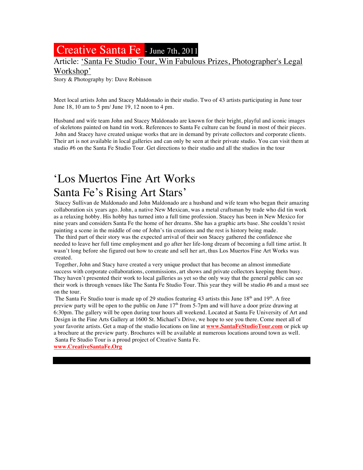## Creative Santa Fe - June 7th, 2011

#### Article: 'Santa Fe Studio Tour, Win Fabulous Prizes, Photographer's Legal

Workshop'

Story & Photography by: Dave Robinson

Meet local artists John and Stacey Maldonado in their studio. Two of 43 artists participating in June tour June 18, 10 am to 5 pm/ June 19, 12 noon to 4 pm.

Husband and wife team John and Stacey Maldonado are known for their bright, playful and iconic images of skeletons painted on hand tin work. References to Santa Fe culture can be found in most of their pieces. John and Stacey have created unique works that are in demand by private collectors and corporate clients. Their art is not available in local galleries and can only be seen at their private studio. You can visit them at studio #6 on the Santa Fe Studio Tour. Get directions to their studio and all the studios in the tour

## 'Los Muertos Fine Art Works Santa Fe's Rising Art Stars'

Stacey Sullivan de Maldonado and John Maldonado are a husband and wife team who began their amazing collaboration six years ago. John, a native New Mexican, was a metal craftsman by trade who did tin work as a relaxing hobby. His hobby has turned into a full time profession. Stacey has been in New Mexico for nine years and considers Santa Fe the home of her dreams. She has a graphic arts base. She couldn't resist painting a scene in the middle of one of John's tin creations and the rest is history being made.

The third part of their story was the expected arrival of their son Stacey gathered the confidence she needed to leave her full time employment and go after her life-long dream of becoming a full time artist. It wasn't long before she figured out how to create and sell her art, thus Los Muertos Fine Art Works was created.

Together, John and Stacy have created a very unique product that has become an almost immediate success with corporate collaborations, commissions, art shows and private collectors keeping them busy. They haven't presented their work to local galleries as yet so the only way that the general public can see their work is through venues like The Santa Fe Studio Tour. This year they will be studio #6 and a must see on the tour.

The Santa Fe Studio tour is made up of 29 studios featuring 43 artists this June 18<sup>th</sup> and 19<sup>th</sup>. A free preview party will be open to the public on June  $17<sup>th</sup>$  from 5-7pm and will have a door prize drawing at 6:30pm. The gallery will be open during tour hours all weekend. Located at Santa Fe University of Art and Design in the Fine Arts Gallery at 1600 St. Michael's Drive, we hope to see you there. Come meet all of your favorite artists. Get a map of the studio locations on line at **www.SantaFeStudioTour.com** or pick up a brochure at the preview party. Brochures will be available at numerous locations around town as well. Santa Fe Studio Tour is a proud project of Creative Santa Fe.

**www.CreativeSantaFe.Org**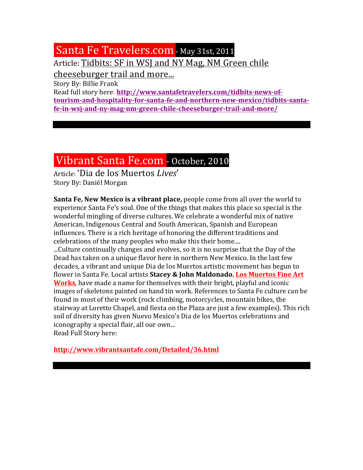## Santa Fe Travelers.com - May 31st, 2011

Article: Tidbits: SF in WSJ and NY Mag, NM Green chile

cheeseburger trail and more...

Story By: Billie Frank

Read full story here: http://www.santafetravelers.com/tidbits-news-of**tourism-and-hospitality-for-santa-fe-and-northern-new-mexico/tidbits-santafe-in-wsj-and-ny-mag-nm-green-chile-cheeseburger-trail-and-more/**

## Vibrant Santa Fe.com - October, 2010

Article: 'Dia de los Muertos *Lives*' Story By: Daniél Morgan

**Santa Fe, New Mexico is a vibrant place,** people come from all over the world to experience Santa Fe's soul. One of the things that makes this place so special is the wonderful mingling of diverse cultures. We celebrate a wonderful mix of native American, Indigenous Central and South American, Spanish and European influences. There is a rich heritage of honoring the different traditions and celebrations of the many peoples who make this their home....

...Culture continually changes and evolves, so it is no surprise that the Day of the Dead has taken on a unique flavor here in northern New Mexico. In the last few decades, a vibrant and unique Dia de los Muertos artistic movement has begun to flower in Santa Fe. Local artists Stacey & John Maldonado, Los Muertos Fine Art **Works**, have made a name for themselves with their bright, playful and iconic images of skeletons painted on hand tin work. References to Santa Fe culture can be found in most of their work (rock climbing, motorcycles, mountain bikes, the stairway at Loretto Chapel, and fiesta on the Plaza are just a few examples). This rich soil of diversity has given Nuevo Mexico's Dia de los Muertos celebrations and iconography a special flair, all our own... Read Full Story here:

**http://www.vibrantsantafe.com/Detailed/36.html**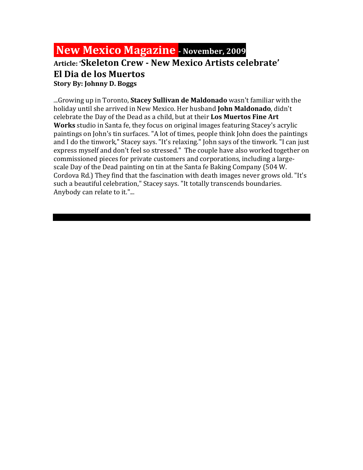## **New Mexico Magazine - November, 2009**

#### **Article: 'Skeleton Crew - New Mexico Artists celebrate' El Dia de los Muertos Story By: Johnny D. Boggs**

...Growing up in Toronto, **Stacey Sullivan de Maldonado** wasn't familiar with the holiday until she arrived in New Mexico. Her husband **John Maldonado**, didn't celebrate the Day of the Dead as a child, but at their **Los Muertos Fine Art Works** studio in Santa fe, they focus on original images featuring Stacey's acrylic paintings on John's tin surfaces. "A lot of times, people think John does the paintings and I do the tinwork," Stacey says. "It's relaxing." John says of the tinwork. "I can just express myself and don't feel so stressed." The couple have also worked together on commissioned pieces for private customers and corporations, including a largescale Day of the Dead painting on tin at the Santa fe Baking Company (504 W.) Cordova Rd.) They find that the fascination with death images never grows old. "It's such a beautiful celebration," Stacey says. "It totally transcends boundaries. Anybody can relate to it."...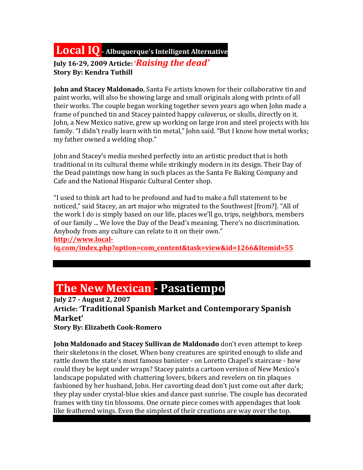## **Local IQ** - Albuquerque's Intelligent Alternative

July 16-29, 2009 Article: '*Raising the dead'* **Story By: Kendra Tuthill** 

**John and Stacey Maldonado**, Santa Fe artists known for their collaborative tin and paint works, will also be showing large and small originals along with prints of all their works. The couple began working together seven years ago when John made a frame of punched tin and Stacey painted happy *calaveras*, or skulls, directly on it. John, a New Mexico native, grew up working on large iron and steel projects with his family. "I didn't really learn with tin metal," John said. "But I know how metal works; my father owned a welding shop."

John and Stacey's media meshed perfectly into an artistic product that is both traditional in its cultural theme while strikingly modern in its design. Their Day of the Dead paintings now hang in such places as the Santa Fe Baking Company and Cafe and the National Hispanic Cultural Center shop.

"I used to think art had to be profound and had to make a full statement to be noticed," said Stacey, an art major who migrated to the Southwest [from?]. "All of the work I do is simply based on our life, places we'll go, trips, neighbors, members of our family ... We love the Day of the Dead's meaning. There's no discrimination. Anybody from any culture can relate to it on their own." **http://www.local-**

**iq.com/index.php?option=com\_content&task=view&id=1266&Itemid=55**

## **The New Mexican - Pasatiempo**

**July 27 - August 2, 2007 Article: 'Traditional Spanish Market and Contemporary Spanish Market'**

**Story By: Elizabeth Cook-Romero** 

**John Maldonado and Stacey Sullivan de Maldonado** don't even attempt to keep their skeletons in the closet. When bony creatures are spirited enough to slide and rattle down the state's most famous banister - on Loretto Chapel's staircase - how could they be kept under wraps? Stacey paints a cartoon version of New Mexico's landscape populated with chattering lovers, bikers and revelers on tin plaques fashioned by her husband, John. Her cavorting dead don't just come out after dark; they play under crystal-blue skies and dance past sunrise. The couple has decorated frames with tiny tin blossoms. One ornate piece comes with appendages that look like feathered wings. Even the simplest of their creations are way over the top.